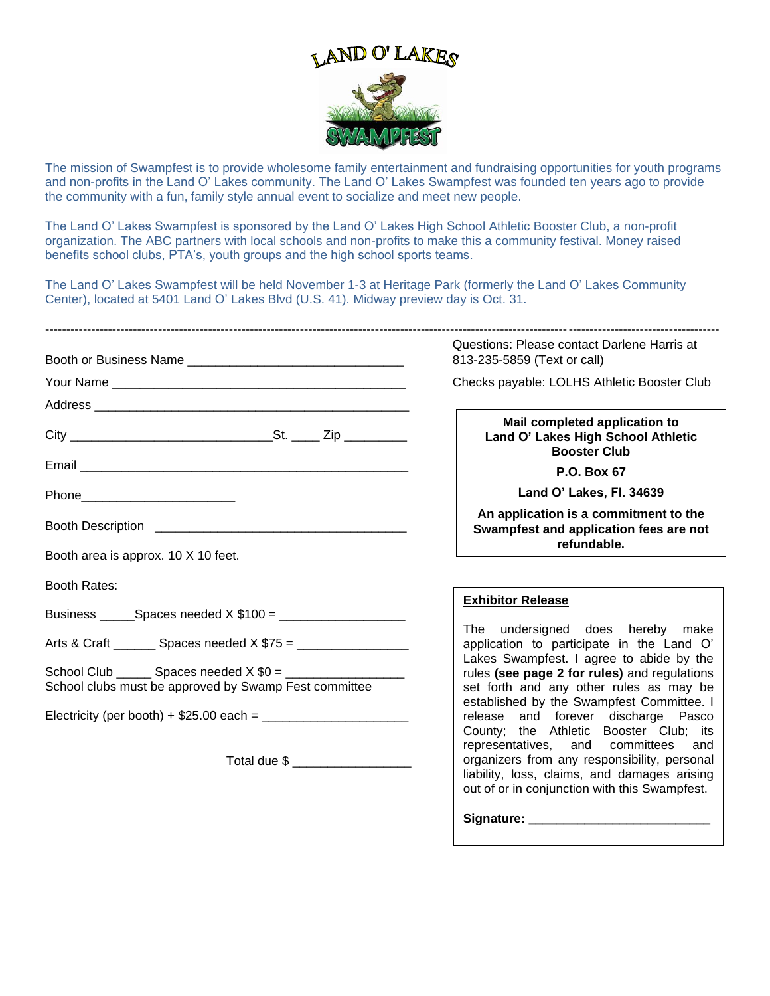

The mission of Swampfest is to provide wholesome family entertainment and fundraising opportunities for youth programs and non-profits in the Land O' Lakes community. The Land O' Lakes Swampfest was founded ten years ago to provide the community with a fun, family style annual event to socialize and meet new people.

The Land O' Lakes Swampfest is sponsored by the Land O' Lakes High School Athletic Booster Club, a non-profit organization. The ABC partners with local schools and non-profits to make this a community festival. Money raised benefits school clubs, PTA's, youth groups and the high school sports teams.

The Land O' Lakes Swampfest will be held November 1-3 at Heritage Park (formerly the Land O' Lakes Community Center), located at 5401 Land O' Lakes Blvd (U.S. 41). Midway preview day is Oct. 31.

|                                                       |  | Questions: Please contact Darlene Harris at<br>813-235-5859 (Text or call)                                                                                                                                                                                                                                                                                                     |
|-------------------------------------------------------|--|--------------------------------------------------------------------------------------------------------------------------------------------------------------------------------------------------------------------------------------------------------------------------------------------------------------------------------------------------------------------------------|
|                                                       |  | Checks payable: LOLHS Athletic Booster Club                                                                                                                                                                                                                                                                                                                                    |
|                                                       |  |                                                                                                                                                                                                                                                                                                                                                                                |
|                                                       |  | Mail completed application to<br>Land O' Lakes High School Athletic<br><b>Booster Club</b>                                                                                                                                                                                                                                                                                     |
|                                                       |  | P.O. Box 67                                                                                                                                                                                                                                                                                                                                                                    |
| Phone___________________________                      |  | Land O' Lakes, Fl. 34639                                                                                                                                                                                                                                                                                                                                                       |
|                                                       |  | An application is a commitment to the<br>Swampfest and application fees are not<br>refundable.                                                                                                                                                                                                                                                                                 |
| Booth area is approx. 10 X 10 feet.                   |  |                                                                                                                                                                                                                                                                                                                                                                                |
| <b>Booth Rates:</b>                                   |  |                                                                                                                                                                                                                                                                                                                                                                                |
|                                                       |  | <b>Exhibitor Release</b><br>The undersigned does hereby make<br>application to participate in the Land O'<br>Lakes Swampfest. I agree to abide by the<br>rules (see page 2 for rules) and regulations<br>set forth and any other rules as may be<br>established by the Swampfest Committee. I<br>release and forever discharge Pasco<br>County; the Athletic Booster Club; its |
|                                                       |  |                                                                                                                                                                                                                                                                                                                                                                                |
| School clubs must be approved by Swamp Fest committee |  |                                                                                                                                                                                                                                                                                                                                                                                |
| Total due \$ _____________________                    |  |                                                                                                                                                                                                                                                                                                                                                                                |
|                                                       |  | representatives, and committees and<br>organizers from any responsibility, personal<br>liability, loss, claims, and damages arising<br>out of or in conjunction with this Swampfest.                                                                                                                                                                                           |
|                                                       |  | Signature: Signature:                                                                                                                                                                                                                                                                                                                                                          |
|                                                       |  |                                                                                                                                                                                                                                                                                                                                                                                |